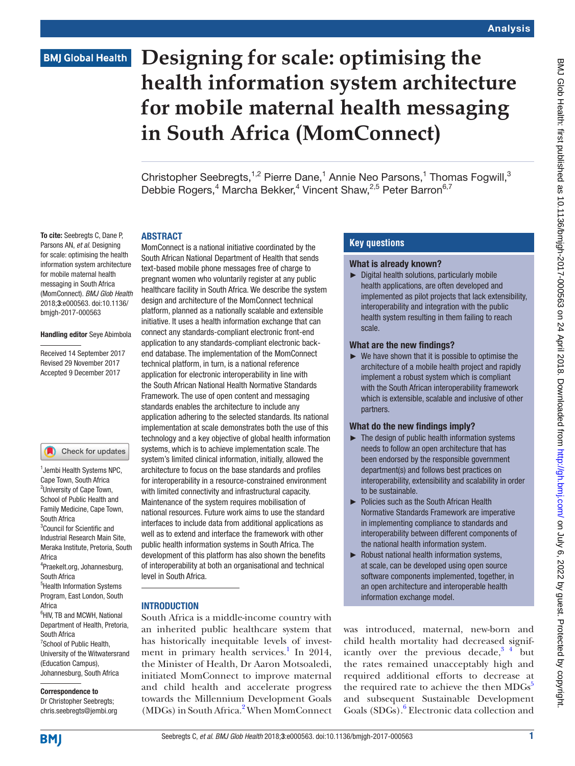# **BMJ Global Health**

# **Designing for scale: optimising the health information system architecture for mobile maternal health messaging in South Africa (MomConnect)**

Christopher Seebregts,<sup>1,2</sup> Pierre Dane,<sup>1</sup> Annie Neo Parsons,<sup>1</sup> Thomas Fogwill,<sup>3</sup> Debbie Rogers,<sup>4</sup> Marcha Bekker,<sup>4</sup> Vincent Shaw,<sup>2,5</sup> Peter Barron<sup>6,7</sup>

#### **ARSTRACT**

To cite: Seebregts C, Dane P, Parsons AN, *et al*. Designing for scale: optimising the health information system architecture for mobile maternal health messaging in South Africa (MomConnect). *BMJ Glob Health* 2018;3:e000563. doi:10.1136/ bmjgh-2017-000563

#### Handling editor Seye Abimbola

Received 14 September 2017 Revised 29 November 2017 Accepted 9 December 2017

#### Check for updates

1 Jembi Health Systems NPC, Cape Town, South Africa <sup>2</sup>University of Cape Town, School of Public Health and Family Medicine, Cape Town, South Africa <sup>3</sup>Council for Scientific and Industrial Research Main Site, Meraka Institute, Pretoria, South Africa 4 Praekelt.org, Johannesburg, South Africa 5 Health Information Systems Program, East London, South Africa 6 HIV, TB and MCWH, National Department of Health, Pretoria, South Africa <sup>7</sup>School of Public Health, University of the Witwatersrand (Education Campus), Johannesburg, South Africa

## Correspondence to

Dr Christopher Seebregts; chris.seebregts@jembi.org

MomConnect is a national initiative coordinated by the South African National Department of Health that sends text-based mobile phone messages free of charge to pregnant women who voluntarily register at any public healthcare facility in South Africa. We describe the system design and architecture of the MomConnect technical platform, planned as a nationally scalable and extensible initiative. It uses a health information exchange that can connect any standards-compliant electronic front-end application to any standards-compliant electronic backend database. The implementation of the MomConnect technical platform, in turn, is a national reference application for electronic interoperability in line with the South African National Health Normative Standards Framework. The use of open content and messaging standards enables the architecture to include any application adhering to the selected standards. Its national implementation at scale demonstrates both the use of this technology and a key objective of global health information systems, which is to achieve implementation scale. The system's limited clinical information, initially, allowed the architecture to focus on the base standards and profiles for interoperability in a resource-constrained environment with limited connectivity and infrastructural capacity. Maintenance of the system requires mobilisation of national resources. Future work aims to use the standard interfaces to include data from additional applications as well as to extend and interface the framework with other public health information systems in South Africa. The development of this platform has also shown the benefits of interoperability at both an organisational and technical level in South Africa.

## **INTRODUCTION**

South Africa is a middle-income country with an inherited public healthcare system that has historically inequitable levels of invest-ment in primary health services.<sup>[1](#page-6-0)</sup> In 2014, the Minister of Health, Dr Aaron Motsoaledi, initiated MomConnect to improve maternal and child health and accelerate progress towards the Millennium Development Goals (MDGs) in South Africa.<sup>[2](#page-6-1)</sup> When MomConnect

## **Key questions**

#### What is already known?

► Digital health solutions, particularly mobile health applications, are often developed and implemented as pilot projects that lack extensibility, interoperability and integration with the public health system resulting in them failing to reach scale.

#### What are the new findings?

 $\blacktriangleright$  We have shown that it is possible to optimise the architecture of a mobile health project and rapidly implement a robust system which is compliant with the South African interoperability framework which is extensible, scalable and inclusive of other partners.

#### What do the new findings imply?

- $\blacktriangleright$  The design of public health information systems needs to follow an open architecture that has been endorsed by the responsible government department(s) and follows best practices on interoperability, extensibility and scalability in order to be sustainable.
- ► Policies such as the South African Health Normative Standards Framework are imperative in implementing compliance to standards and interoperability between different components of the national health information system.
- ► Robust national health information systems, at scale, can be developed using open source software components implemented, together, in an open architecture and interoperable health information exchange model.

was introduced, maternal, new-born and child health mortality had decreased significantly over the previous decade,  $3\frac{4}{4}$  but the rates remained unacceptably high and required additional efforts to decrease at the required rate to achieve the then MDGs<sup>[5](#page-6-3)</sup> and subsequent Sustainable Development Goals (SDGs).<sup>[6](#page-6-4)</sup> Electronic data collection and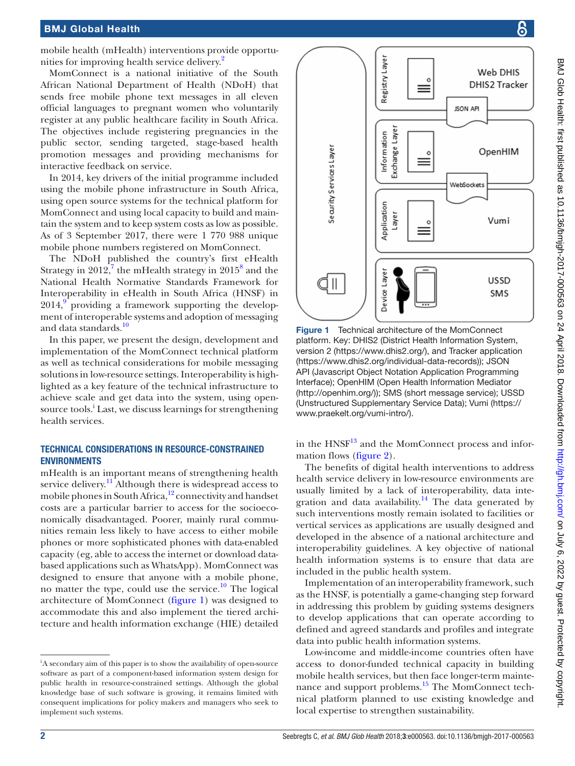### BMJ Global Health

mobile health (mHealth) interventions provide opportunities for improving health service delivery.<sup>2</sup>

MomConnect is a national initiative of the South African National Department of Health (NDoH) that sends free mobile phone text messages in all eleven official languages to pregnant women who voluntarily register at any public healthcare facility in South Africa. The objectives include registering pregnancies in the public sector, sending targeted, stage-based health promotion messages and providing mechanisms for interactive feedback on service.

In 2014, key drivers of the initial programme included using the mobile phone infrastructure in South Africa, using open source systems for the technical platform for MomConnect and using local capacity to build and maintain the system and to keep system costs as low as possible. As of 3 September 2017, there were 1 770 988 unique mobile phone numbers registered on MomConnect.

The NDoH published the country's first eHealth Strategy in 2012,<sup>[7](#page-6-5)</sup> the mHealth strategy in 2015<sup>8</sup> and the National Health Normative Standards Framework for Interoperability in eHealth in South Africa (HNSF) in  $2014<sup>9</sup>$  $2014<sup>9</sup>$  $2014<sup>9</sup>$  providing a framework supporting the development of interoperable systems and adoption of messaging and data standards.<sup>[10](#page-6-8)</sup>

In this paper, we present the design, development and implementation of the MomConnect technical platform as well as technical considerations for mobile messaging solutions in low-resource settings. Interoperability is highlighted as a key feature of the technical infrastructure to achieve scale and get data into the system, using opensource tools.<sup>i</sup> Last, we discuss learnings for strengthening health services.

### Technical considerations in resource-constrained **ENVIRONMENTS**

mHealth is an important means of strengthening health service delivery.<sup>[11](#page-6-9)</sup> Although there is widespread access to mobile phones in South Africa, $12$  connectivity and handset costs are a particular barrier to access for the socioeconomically disadvantaged. Poorer, mainly rural communities remain less likely to have access to either mobile phones or more sophisticated phones with data-enabled capacity (eg, able to access the internet or download databased applications such as WhatsApp). MomConnect was designed to ensure that anyone with a mobile phone, no matter the type, could use the service.<sup>10</sup> The logical architecture of MomConnect ([figure](#page-1-0) 1) was designed to accommodate this and also implement the tiered architecture and health information exchange (HIE) detailed

<sup>i</sup>A secondary aim of this paper is to show the availability of open-source software as part of a component-based information system design for public health in resource-constrained settings. Although the global knowledge base of such software is growing, it remains limited with consequent implications for policy makers and managers who seek to implement such systems.



<span id="page-1-0"></span>Figure 1 Technical architecture of the MomConnect platform. Key: DHIS2 (District Health Information System, version 2 [\(https://www.dhis2.org/](https://www.dhis2.org/)), and Tracker application [\(https://www.dhis2.org/individual-data-records](https://www.dhis2.org/individual-data-records))); JSON API (Javascript Object Notation Application Programming Interface); OpenHIM (Open Health Information Mediator [\(http://openhim.org/](http://openhim.org/))); SMS (short message service); USSD (Unstructured Supplementary Service Data); Vumi ([https://](https://www.praekelt.org/vumi-intro/) [www.praekelt.org/vumi-intro/\)](https://www.praekelt.org/vumi-intro/).

in the  $HNSF<sup>13</sup>$  and the MomConnect process and information flows [\(figure](#page-2-0) 2).

The benefits of digital health interventions to address health service delivery in low-resource environments are usually limited by a lack of interoperability, data integration and data availability.<sup>14</sup> The data generated by such interventions mostly remain isolated to facilities or vertical services as applications are usually designed and developed in the absence of a national architecture and interoperability guidelines. A key objective of national health information systems is to ensure that data are included in the public health system.

Implementation of an interoperability framework, such as the HNSF, is potentially a game-changing step forward in addressing this problem by guiding systems designers to develop applications that can operate according to defined and agreed standards and profiles and integrate data into public health information systems.

Low-income and middle-income countries often have access to donor-funded technical capacity in building mobile health services, but then face longer-term maintenance and support problems. $15$  The MomConnect technical platform planned to use existing knowledge and local expertise to strengthen sustainability.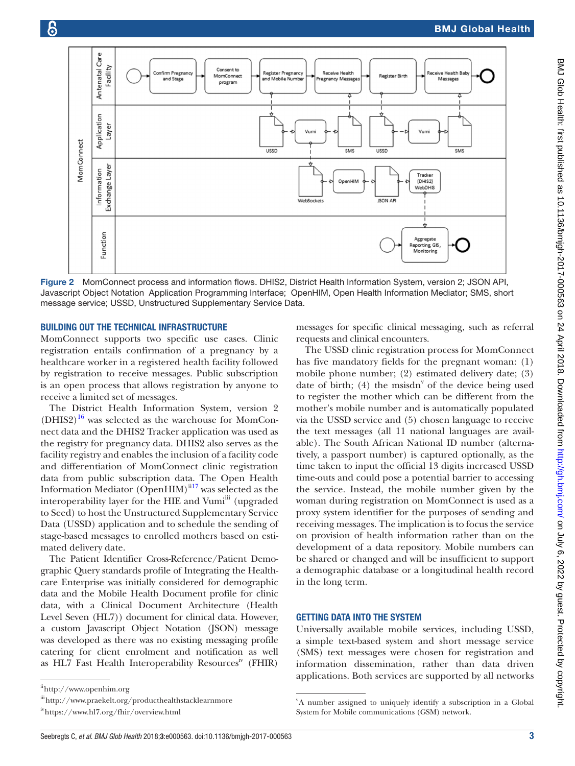

<span id="page-2-0"></span>Figure 2 MomConnect process and information flows. DHIS2, District Health Information System, version 2; JSON API, Javascript Object Notation Application Programming Interface; OpenHIM, Open Health Information Mediator; SMS, short message service; USSD, Unstructured Supplementary Service Data.

#### Building out the technical infrastructure

MomConnect supports two specific use cases. Clinic registration entails confirmation of a pregnancy by a healthcare worker in a registered health facility followed by registration to receive messages. Public subscription is an open process that allows registration by anyone to receive a limited set of messages.

The District Health Information System, version 2  $(DHIS2)<sup>16</sup>$  was selected as the warehouse for MomConnect data and the DHIS2 Tracker application was used as the registry for pregnancy data. DHIS2 also serves as the facility registry and enables the inclusion of a facility code and differentiation of MomConnect clinic registration data from public subscription data. The Open Health Information Mediator (OpenHIM) $\frac{1}{117}$  was selected as the interoperability layer for the HIE and Vumi<sup>iii</sup> (upgraded to Seed) to host the Unstructured Supplementary Service Data (USSD) application and to schedule the sending of stage-based messages to enrolled mothers based on estimated delivery date.

The Patient Identifier Cross-Reference/Patient Demographic Query standards profile of Integrating the Healthcare Enterprise was initially considered for demographic data and the Mobile Health Document profile for clinic data, with a Clinical Document Architecture (Health Level Seven (HL7)) document for clinical data. However, a custom Javascript Object Notation (JSON) message was developed as there was no existing messaging profile catering for client enrolment and notification as well as HL7 Fast Health Interoperability Resources<sup>iv</sup> (FHIR)

messages for specific clinical messaging, such as referral requests and clinical encounters.

The USSD clinic registration process for MomConnect has five mandatory fields for the pregnant woman: (1) mobile phone number; (2) estimated delivery date; (3) date of birth;  $(4)$  the msisdn<sup>v</sup> of the device being used to register the mother which can be different from the mother's mobile number and is automatically populated via the USSD service and (5) chosen language to receive the text messages (all 11 national languages are available). The South African National ID number (alternatively, a passport number) is captured optionally, as the time taken to input the official 13 digits increased USSD time-outs and could pose a potential barrier to accessing the service. Instead, the mobile number given by the woman during registration on MomConnect is used as a proxy system identifier for the purposes of sending and receiving messages. The implication is to focus the service on provision of health information rather than on the development of a data repository. Mobile numbers can be shared or changed and will be insufficient to support a demographic database or a longitudinal health record in the long term.

#### Getting data into the system

Universally available mobile services, including USSD, a simple text-based system and short message service (SMS) text messages were chosen for registration and information dissemination, rather than data driven applications. Both services are supported by all networks

ii<http://www.openhim.org>

 $\ddot{\text{int}}$ <http://www.praekelt.org/producthealthstacklearnmore>

iv<https://www.hl7.org/fhir/overview.html>

v A number assigned to uniquely identify a subscription in a Global System for Mobile communications (GSM) network.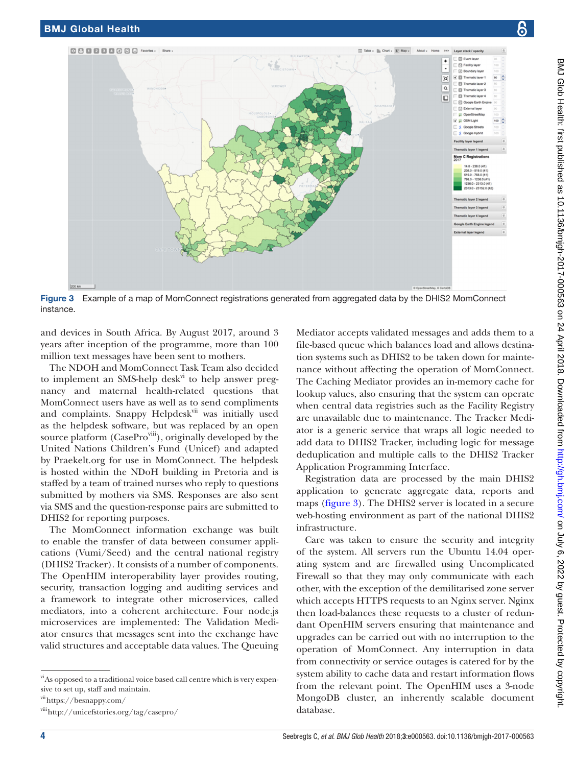**Q B Q B Q Q S Q Favorites - Share** 

<span id="page-3-0"></span>instance.



and devices in South Africa. By August 2017, around 3 years after inception of the programme, more than 100 million text messages have been sent to mothers.

The NDOH and MomConnect Task Team also decided to implement an SMS-help desk<sup>vi</sup> to help answer pregnancy and maternal health-related questions that MomConnect users have as well as to send compliments and complaints. Snappy Helpdesk<sup>vii</sup> was initially used as the helpdesk software, but was replaced by an open source platform (CasePro<sup>viii</sup>), originally developed by the United Nations Children's Fund (Unicef) and adapted by Praekelt.org for use in MomConnect. The helpdesk is hosted within the NDoH building in Pretoria and is staffed by a team of trained nurses who reply to questions submitted by mothers via SMS. Responses are also sent via SMS and the question-response pairs are submitted to DHIS2 for reporting purposes.

The MomConnect information exchange was built to enable the transfer of data between consumer applications (Vumi/Seed) and the central national registry (DHIS2 Tracker). It consists of a number of components. The OpenHIM interoperability layer provides routing, security, transaction logging and auditing services and a framework to integrate other microservices, called mediators, into a coherent architecture. Four node.js microservices are implemented: The Validation Mediator ensures that messages sent into the exchange have valid structures and acceptable data values. The Queuing

vii<https://besnappy.com/>

Mediator accepts validated messages and adds them to a file-based queue which balances load and allows destination systems such as DHIS2 to be taken down for maintenance without affecting the operation of MomConnect. The Caching Mediator provides an in-memory cache for lookup values, also ensuring that the system can operate when central data registries such as the Facility Registry are unavailable due to maintenance. The Tracker Mediator is a generic service that wraps all logic needed to add data to DHIS2 Tracker, including logic for message deduplication and multiple calls to the DHIS2 Tracker Application Programming Interface.

By Chart - BT Map - About - Home

 $\sim$ 

'o' **VIII** Th **El Thematic layer** 

 $\overline{\circ}$ 

 $\Box$ 

**E** Event I

Fil Facility lay

Thematic layer Thematic layer

C Evental law

Registration data are processed by the main DHIS2 application to generate aggregate data, reports and maps [\(figure](#page-3-0) 3). The DHIS2 server is located in a secure web-hosting environment as part of the national DHIS2 infrastructure.

Care was taken to ensure the security and integrity of the system. All servers run the Ubuntu 14.04 operating system and are firewalled using Uncomplicated Firewall so that they may only communicate with each other, with the exception of the demilitarised zone server which accepts HTTPS requests to an Nginx server. Nginx then load-balances these requests to a cluster of redundant OpenHIM servers ensuring that maintenance and upgrades can be carried out with no interruption to the operation of MomConnect. Any interruption in data from connectivity or service outages is catered for by the system ability to cache data and restart information flows from the relevant point. The OpenHIM uses a 3-node MongoDB cluster, an inherently scalable document database.

viAs opposed to a traditional voice based call centre which is very expensive to set up, staff and maintain.

viii<http://unicefstories.org/tag/casepro/>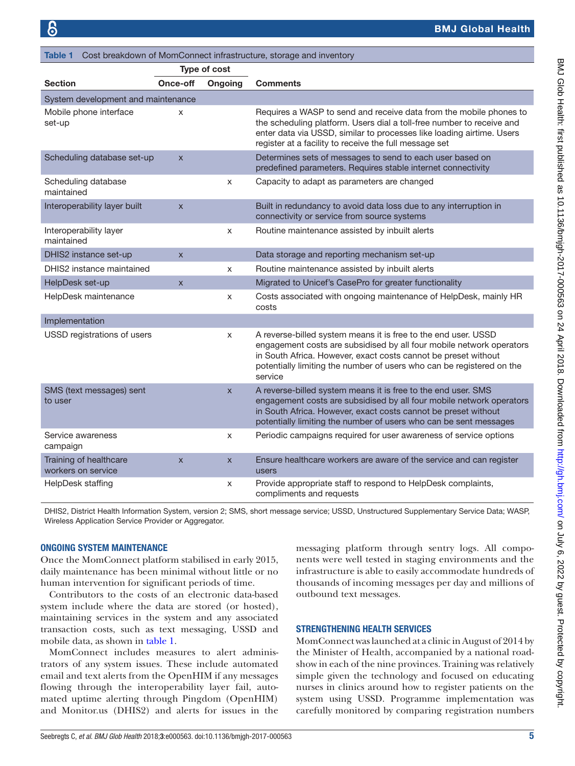<span id="page-4-0"></span>

| Cost breakdown of MomConnect infrastructure, storage and inventory<br>Table 1 |                         |                           |                                                                                                                                                                                                                                                                                              |
|-------------------------------------------------------------------------------|-------------------------|---------------------------|----------------------------------------------------------------------------------------------------------------------------------------------------------------------------------------------------------------------------------------------------------------------------------------------|
| <b>Type of cost</b>                                                           |                         |                           |                                                                                                                                                                                                                                                                                              |
| <b>Section</b>                                                                | Once-off                | Ongoing                   | <b>Comments</b>                                                                                                                                                                                                                                                                              |
| System development and maintenance                                            |                         |                           |                                                                                                                                                                                                                                                                                              |
| Mobile phone interface<br>set-up                                              | X                       |                           | Requires a WASP to send and receive data from the mobile phones to<br>the scheduling platform. Users dial a toll-free number to receive and<br>enter data via USSD, similar to processes like loading airtime. Users<br>register at a facility to receive the full message set               |
| Scheduling database set-up                                                    | $\mathsf{x}$            |                           | Determines sets of messages to send to each user based on<br>predefined parameters. Requires stable internet connectivity                                                                                                                                                                    |
| Scheduling database<br>maintained                                             |                         | X                         | Capacity to adapt as parameters are changed                                                                                                                                                                                                                                                  |
| Interoperability layer built                                                  | $\overline{\mathsf{x}}$ |                           | Built in redundancy to avoid data loss due to any interruption in<br>connectivity or service from source systems                                                                                                                                                                             |
| Interoperability layer<br>maintained                                          |                         | X                         | Routine maintenance assisted by inbuilt alerts                                                                                                                                                                                                                                               |
| DHIS2 instance set-up                                                         | $\overline{\mathsf{x}}$ |                           | Data storage and reporting mechanism set-up                                                                                                                                                                                                                                                  |
| DHIS2 instance maintained                                                     |                         | X                         | Routine maintenance assisted by inbuilt alerts                                                                                                                                                                                                                                               |
| HelpDesk set-up                                                               | $\mathsf{X}$            |                           | Migrated to Unicef's CasePro for greater functionality                                                                                                                                                                                                                                       |
| HelpDesk maintenance                                                          |                         | X                         | Costs associated with ongoing maintenance of HelpDesk, mainly HR<br>costs                                                                                                                                                                                                                    |
| Implementation                                                                |                         |                           |                                                                                                                                                                                                                                                                                              |
| USSD registrations of users                                                   |                         | $\times$                  | A reverse-billed system means it is free to the end user. USSD<br>engagement costs are subsidised by all four mobile network operators<br>in South Africa. However, exact costs cannot be preset without<br>potentially limiting the number of users who can be registered on the<br>service |
| SMS (text messages) sent<br>to user                                           |                         | $\mathsf{x}$              | A reverse-billed system means it is free to the end user. SMS<br>engagement costs are subsidised by all four mobile network operators<br>in South Africa. However, exact costs cannot be preset without<br>potentially limiting the number of users who can be sent messages                 |
| Service awareness<br>campaign                                                 |                         | $\boldsymbol{\mathsf{x}}$ | Periodic campaigns required for user awareness of service options                                                                                                                                                                                                                            |
| Training of healthcare<br>workers on service                                  | $\overline{\mathsf{x}}$ | $\mathsf{x}$              | Ensure healthcare workers are aware of the service and can register<br>users                                                                                                                                                                                                                 |
| HelpDesk staffing                                                             |                         | X                         | Provide appropriate staff to respond to HelpDesk complaints,<br>compliments and requests                                                                                                                                                                                                     |

DHIS2, District Health Information System, version 2; SMS, short message service; USSD, Unstructured Supplementary Service Data; WASP, Wireless Application Service Provider or Aggregator.

#### Ongoing system maintenance

Once the MomConnect platform stabilised in early 2015, daily maintenance has been minimal without little or no human intervention for significant periods of time.

Contributors to the costs of an electronic data-based system include where the data are stored (or hosted), maintaining services in the system and any associated transaction costs, such as text messaging, USSD and mobile data, as shown in [table](#page-4-0) 1.

MomConnect includes measures to alert administrators of any system issues. These include automated email and text alerts from the OpenHIM if any messages flowing through the interoperability layer fail, automated uptime alerting through Pingdom (OpenHIM) and Monitor.us (DHIS2) and alerts for issues in the

messaging platform through sentry logs. All components were well tested in staging environments and the infrastructure is able to easily accommodate hundreds of thousands of incoming messages per day and millions of outbound text messages.

#### Strengthening health services

MomConnect was launched at a clinic in August of 2014 by the Minister of Health, accompanied by a national roadshow in each of the nine provinces. Training was relatively simple given the technology and focused on educating nurses in clinics around how to register patients on the system using USSD. Programme implementation was carefully monitored by comparing registration numbers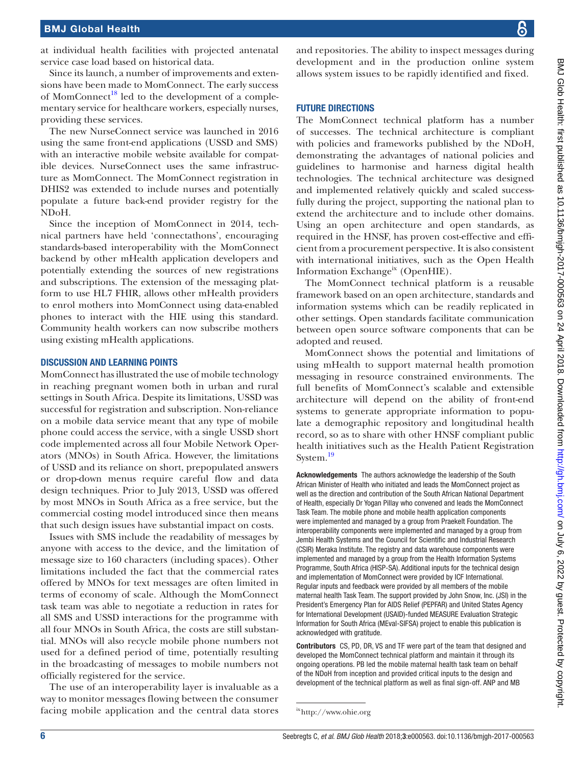at individual health facilities with projected antenatal service case load based on historical data.

Since its launch, a number of improvements and extensions have been made to MomConnect. The early success of MomConnect<sup>18</sup> led to the development of a complementary service for healthcare workers, especially nurses, providing these services.

The new NurseConnect service was launched in 2016 using the same front-end applications (USSD and SMS) with an interactive mobile website available for compatible devices. NurseConnect uses the same infrastructure as MomConnect. The MomConnect registration in DHIS2 was extended to include nurses and potentially populate a future back-end provider registry for the NDoH.

Since the inception of MomConnect in 2014, technical partners have held 'connectathons', encouraging standards-based interoperability with the MomConnect backend by other mHealth application developers and potentially extending the sources of new registrations and subscriptions. The extension of the messaging platform to use HL7 FHIR, allows other mHealth providers to enrol mothers into MomConnect using data-enabled phones to interact with the HIE using this standard. Community health workers can now subscribe mothers using existing mHealth applications.

#### Discussion and learning points

MomConnect has illustrated the use of mobile technology in reaching pregnant women both in urban and rural settings in South Africa. Despite its limitations, USSD was successful for registration and subscription. Non-reliance on a mobile data service meant that any type of mobile phone could access the service, with a single USSD short code implemented across all four Mobile Network Operators (MNOs) in South Africa. However, the limitations of USSD and its reliance on short, prepopulated answers or drop-down menus require careful flow and data design techniques. Prior to July 2013, USSD was offered by most MNOs in South Africa as a free service, but the commercial costing model introduced since then means that such design issues have substantial impact on costs.

Issues with SMS include the readability of messages by anyone with access to the device, and the limitation of message size to 160 characters (including spaces). Other limitations included the fact that the commercial rates offered by MNOs for text messages are often limited in terms of economy of scale. Although the MomConnect task team was able to negotiate a reduction in rates for all SMS and USSD interactions for the programme with all four MNOs in South Africa, the costs are still substantial. MNOs will also recycle mobile phone numbers not used for a defined period of time, potentially resulting in the broadcasting of messages to mobile numbers not officially registered for the service.

The use of an interoperability layer is invaluable as a way to monitor messages flowing between the consumer facing mobile application and the central data stores

and repositories. The ability to inspect messages during development and in the production online system allows system issues to be rapidly identified and fixed.

#### **FUTURE DIRECTIONS**

The MomConnect technical platform has a number of successes. The technical architecture is compliant with policies and frameworks published by the NDoH, demonstrating the advantages of national policies and guidelines to harmonise and harness digital health technologies. The technical architecture was designed and implemented relatively quickly and scaled successfully during the project, supporting the national plan to extend the architecture and to include other domains. Using an open architecture and open standards, as required in the HNSF, has proven cost-effective and efficient from a procurement perspective. It is also consistent with international initiatives, such as the Open Health Information Exchange<sup>ix</sup> (OpenHIE).

The MomConnect technical platform is a reusable framework based on an open architecture, standards and information systems which can be readily replicated in other settings. Open standards facilitate communication between open source software components that can be adopted and reused.

MomConnect shows the potential and limitations of using mHealth to support maternal health promotion messaging in resource constrained environments. The full benefits of MomConnect's scalable and extensible architecture will depend on the ability of front-end systems to generate appropriate information to populate a demographic repository and longitudinal health record, so as to share with other HNSF compliant public health initiatives such as the Health Patient Registration System.<sup>19</sup>

Acknowledgements The authors acknowledge the leadership of the South African Minister of Health who initiated and leads the MomConnect project as well as the direction and contribution of the South African National Department of Health, especially Dr Yogan Pillay who convened and leads the MomConnect Task Team. The mobile phone and mobile health application components were implemented and managed by a group from Praekelt Foundation. The interoperability components were implemented and managed by a group from Jembi Health Systems and the Council for Scientific and Industrial Research (CSIR) Meraka Institute. The registry and data warehouse components were implemented and managed by a group from the Health Information Systems Programme, South Africa (HISP-SA). Additional inputs for the technical design and implementation of MomConnect were provided by ICF International. Regular inputs and feedback were provided by all members of the mobile maternal health Task Team. The support provided by John Snow, Inc. (JSI) in the President's Emergency Plan for AIDS Relief (PEPFAR) and United States Agency for International Development (USAID)-funded MEASURE Evaluation Strategic Information for South Africa (MEval-SIFSA) project to enable this publication is acknowledged with gratitude.

Contributors CS, PD, DR, VS and TF were part of the team that designed and developed the MomConnect technical platform and maintain it through its ongoing operations. PB led the mobile maternal health task team on behalf of the NDoH from inception and provided critical inputs to the design and development of the technical platform as well as final sign-off. ANP and MB

ix<http://www.ohie.org>